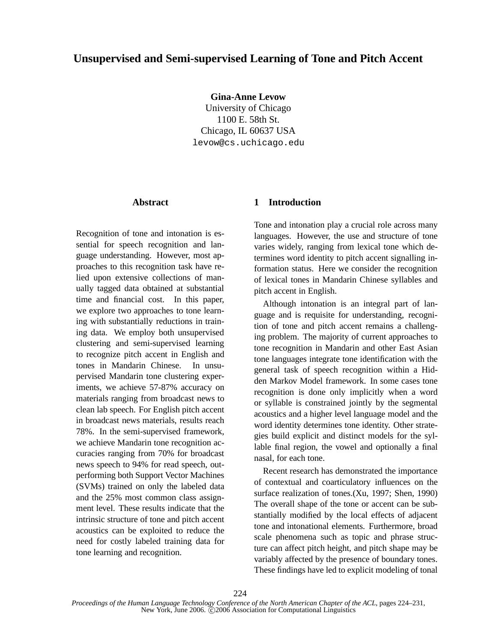# **Unsupervised and Semi-supervised Learning of Tone and Pitch Accent**

**Gina-Anne Levow**

University of Chicago 1100 E. 58th St. Chicago, IL 60637 USA levow@cs.uchicago.edu

### **Abstract**

Recognition of tone and intonation is essential for speech recognition and language understanding. However, most approaches to this recognition task have relied upon extensive collections of manually tagged data obtained at substantial time and financial cost. In this paper, we explore two approaches to tone learning with substantially reductions in training data. We employ both unsupervised clustering and semi-supervised learning to recognize pitch accent in English and tones in Mandarin Chinese. In unsupervised Mandarin tone clustering experiments, we achieve 57-87% accuracy on materials ranging from broadcast news to clean lab speech. For English pitch accent in broadcast news materials, results reach 78%. In the semi-supervised framework, we achieve Mandarin tone recognition accuracies ranging from 70% for broadcast news speech to 94% for read speech, outperforming both Support Vector Machines (SVMs) trained on only the labeled data and the 25% most common class assignment level. These results indicate that the intrinsic structure of tone and pitch accent acoustics can be exploited to reduce the need for costly labeled training data for tone learning and recognition.

## **1 Introduction**

Tone and intonation play a crucial role across many languages. However, the use and structure of tone varies widely, ranging from lexical tone which determines word identity to pitch accent signalling information status. Here we consider the recognition of lexical tones in Mandarin Chinese syllables and pitch accent in English.

Although intonation is an integral part of language and is requisite for understanding, recognition of tone and pitch accent remains a challenging problem. The majority of current approaches to tone recognition in Mandarin and other East Asian tone languages integrate tone identification with the general task of speech recognition within a Hidden Markov Model framework. In some cases tone recognition is done only implicitly when a word or syllable is constrained jointly by the segmental acoustics and a higher level language model and the word identity determines tone identity. Other strategies build explicit and distinct models for the syllable final region, the vowel and optionally a final nasal, for each tone.

Recent research has demonstrated the importance of contextual and coarticulatory influences on the surface realization of tones.(Xu, 1997; Shen, 1990) The overall shape of the tone or accent can be substantially modified by the local effects of adjacent tone and intonational elements. Furthermore, broad scale phenomena such as topic and phrase structure can affect pitch height, and pitch shape may be variably affected by the presence of boundary tones. These findings have led to explicit modeling of tonal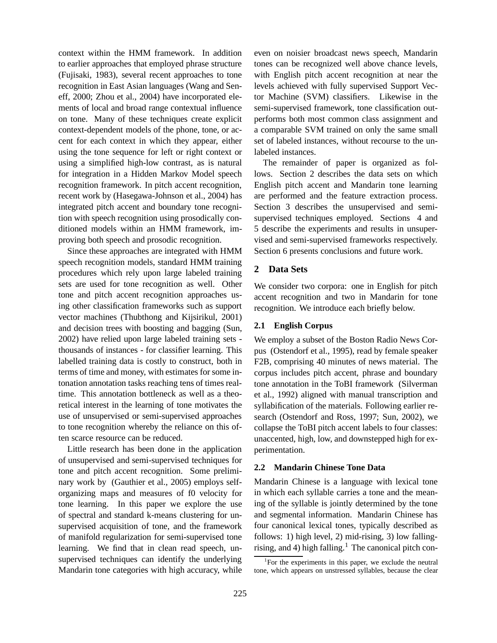context within the HMM framework. In addition to earlier approaches that employed phrase structure (Fujisaki, 1983), several recent approaches to tone recognition in East Asian languages (Wang and Seneff, 2000; Zhou et al., 2004) have incorporated elements of local and broad range contextual influence on tone. Many of these techniques create explicit context-dependent models of the phone, tone, or accent for each context in which they appear, either using the tone sequence for left or right context or using a simplified high-low contrast, as is natural for integration in a Hidden Markov Model speech recognition framework. In pitch accent recognition, recent work by (Hasegawa-Johnson et al., 2004) has integrated pitch accent and boundary tone recognition with speech recognition using prosodically conditioned models within an HMM framework, improving both speech and prosodic recognition.

Since these approaches are integrated with HMM speech recognition models, standard HMM training procedures which rely upon large labeled training sets are used for tone recognition as well. Other tone and pitch accent recognition approaches using other classification frameworks such as support vector machines (Thubthong and Kijsirikul, 2001) and decision trees with boosting and bagging (Sun, 2002) have relied upon large labeled training sets thousands of instances - for classifier learning. This labelled training data is costly to construct, both in terms of time and money, with estimates for some intonation annotation tasks reaching tens of times realtime. This annotation bottleneck as well as a theoretical interest in the learning of tone motivates the use of unsupervised or semi-supervised approaches to tone recognition whereby the reliance on this often scarce resource can be reduced.

Little research has been done in the application of unsupervised and semi-supervised techniques for tone and pitch accent recognition. Some preliminary work by (Gauthier et al., 2005) employs selforganizing maps and measures of f0 velocity for tone learning. In this paper we explore the use of spectral and standard k-means clustering for unsupervised acquisition of tone, and the framework of manifold regularization for semi-supervised tone learning. We find that in clean read speech, unsupervised techniques can identify the underlying Mandarin tone categories with high accuracy, while even on noisier broadcast news speech, Mandarin tones can be recognized well above chance levels, with English pitch accent recognition at near the levels achieved with fully supervised Support Vector Machine (SVM) classifiers. Likewise in the semi-supervised framework, tone classification outperforms both most common class assignment and a comparable SVM trained on only the same small set of labeled instances, without recourse to the unlabeled instances.

The remainder of paper is organized as follows. Section 2 describes the data sets on which English pitch accent and Mandarin tone learning are performed and the feature extraction process. Section 3 describes the unsupervised and semisupervised techniques employed. Sections 4 and 5 describe the experiments and results in unsupervised and semi-supervised frameworks respectively. Section 6 presents conclusions and future work.

### **2 Data Sets**

We consider two corpora: one in English for pitch accent recognition and two in Mandarin for tone recognition. We introduce each briefly below.

### **2.1 English Corpus**

We employ a subset of the Boston Radio News Corpus (Ostendorf et al., 1995), read by female speaker F2B, comprising 40 minutes of news material. The corpus includes pitch accent, phrase and boundary tone annotation in the ToBI framework (Silverman et al., 1992) aligned with manual transcription and syllabification of the materials. Following earlier research (Ostendorf and Ross, 1997; Sun, 2002), we collapse the ToBI pitch accent labels to four classes: unaccented, high, low, and downstepped high for experimentation.

#### **2.2 Mandarin Chinese Tone Data**

Mandarin Chinese is a language with lexical tone in which each syllable carries a tone and the meaning of the syllable is jointly determined by the tone and segmental information. Mandarin Chinese has four canonical lexical tones, typically described as follows: 1) high level, 2) mid-rising, 3) low fallingrising, and 4) high falling.<sup>1</sup> The canonical pitch con-

<sup>&</sup>lt;sup>1</sup>For the experiments in this paper, we exclude the neutral tone, which appears on unstressed syllables, because the clear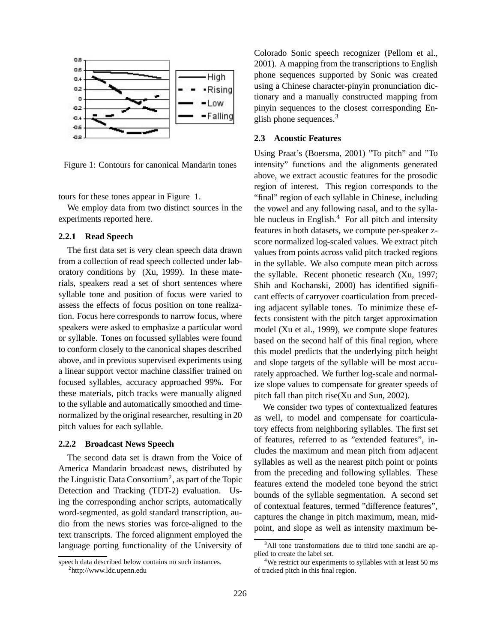

Figure 1: Contours for canonical Mandarin tones

tours for these tones appear in Figure 1.

We employ data from two distinct sources in the experiments reported here.

### **2.2.1 Read Speech**

The first data set is very clean speech data drawn from a collection of read speech collected under laboratory conditions by (Xu, 1999). In these materials, speakers read a set of short sentences where syllable tone and position of focus were varied to assess the effects of focus position on tone realization. Focus here corresponds to narrow focus, where speakers were asked to emphasize a particular word or syllable. Tones on focussed syllables were found to conform closely to the canonical shapes described above, and in previous supervised experiments using a linear support vector machine classifier trained on focused syllables, accuracy approached 99%. For these materials, pitch tracks were manually aligned to the syllable and automatically smoothed and timenormalized by the original researcher, resulting in 20 pitch values for each syllable.

### **2.2.2 Broadcast News Speech**

The second data set is drawn from the Voice of America Mandarin broadcast news, distributed by the Linguistic Data Consortium<sup>2</sup>, as part of the Topic Detection and Tracking (TDT-2) evaluation. Using the corresponding anchor scripts, automatically word-segmented, as gold standard transcription, audio from the news stories was force-aligned to the text transcripts. The forced alignment employed the language porting functionality of the University of Colorado Sonic speech recognizer (Pellom et al., 2001). A mapping from the transcriptions to English phone sequences supported by Sonic was created using a Chinese character-pinyin pronunciation dictionary and a manually constructed mapping from pinyin sequences to the closest corresponding English phone sequences.<sup>3</sup>

### **2.3 Acoustic Features**

Using Praat's (Boersma, 2001) "To pitch" and "To intensity" functions and the alignments generated above, we extract acoustic features for the prosodic region of interest. This region corresponds to the "final" region of each syllable in Chinese, including the vowel and any following nasal, and to the syllable nucleus in English. $<sup>4</sup>$  For all pitch and intensity</sup> features in both datasets, we compute per-speaker zscore normalized log-scaled values. We extract pitch values from points across valid pitch tracked regions in the syllable. We also compute mean pitch across the syllable. Recent phonetic research (Xu, 1997; Shih and Kochanski, 2000) has identified significant effects of carryover coarticulation from preceding adjacent syllable tones. To minimize these effects consistent with the pitch target approximation model (Xu et al., 1999), we compute slope features based on the second half of this final region, where this model predicts that the underlying pitch height and slope targets of the syllable will be most accurately approached. We further log-scale and normalize slope values to compensate for greater speeds of pitch fall than pitch rise(Xu and Sun, 2002).

We consider two types of contextualized features as well, to model and compensate for coarticulatory effects from neighboring syllables. The first set of features, referred to as "extended features", includes the maximum and mean pitch from adjacent syllables as well as the nearest pitch point or points from the preceding and following syllables. These features extend the modeled tone beyond the strict bounds of the syllable segmentation. A second set of contextual features, termed "difference features", captures the change in pitch maximum, mean, midpoint, and slope as well as intensity maximum be-

speech data described below contains no such instances. 2 http://www.ldc.upenn.edu

<sup>&</sup>lt;sup>3</sup>All tone transformations due to third tone sandhi are applied to create the label set.

 $4$ We restrict our experiments to syllables with at least 50 ms of tracked pitch in this final region.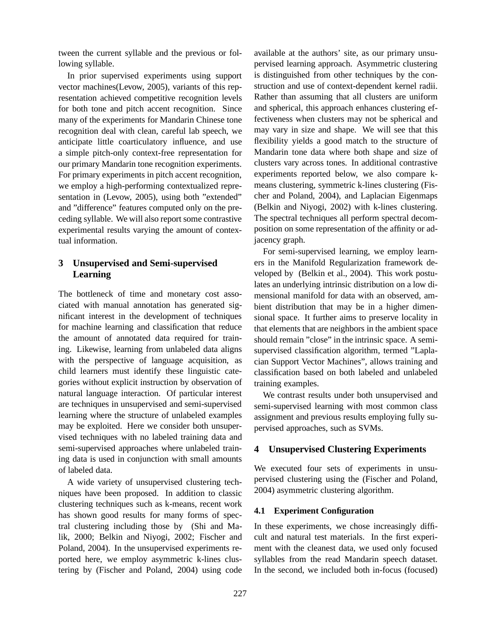tween the current syllable and the previous or following syllable.

In prior supervised experiments using support vector machines(Levow, 2005), variants of this representation achieved competitive recognition levels for both tone and pitch accent recognition. Since many of the experiments for Mandarin Chinese tone recognition deal with clean, careful lab speech, we anticipate little coarticulatory influence, and use a simple pitch-only context-free representation for our primary Mandarin tone recognition experiments. For primary experiments in pitch accent recognition, we employ a high-performing contextualized representation in (Levow, 2005), using both "extended" and "difference" features computed only on the preceding syllable. We will also report some contrastive experimental results varying the amount of contextual information.

## **3 Unsupervised and Semi-supervised Learning**

The bottleneck of time and monetary cost associated with manual annotation has generated significant interest in the development of techniques for machine learning and classification that reduce the amount of annotated data required for training. Likewise, learning from unlabeled data aligns with the perspective of language acquisition, as child learners must identify these linguistic categories without explicit instruction by observation of natural language interaction. Of particular interest are techniques in unsupervised and semi-supervised learning where the structure of unlabeled examples may be exploited. Here we consider both unsupervised techniques with no labeled training data and semi-supervised approaches where unlabeled training data is used in conjunction with small amounts of labeled data.

A wide variety of unsupervised clustering techniques have been proposed. In addition to classic clustering techniques such as k-means, recent work has shown good results for many forms of spectral clustering including those by (Shi and Malik, 2000; Belkin and Niyogi, 2002; Fischer and Poland, 2004). In the unsupervised experiments reported here, we employ asymmetric k-lines clustering by (Fischer and Poland, 2004) using code available at the authors' site, as our primary unsupervised learning approach. Asymmetric clustering is distinguished from other techniques by the construction and use of context-dependent kernel radii. Rather than assuming that all clusters are uniform and spherical, this approach enhances clustering effectiveness when clusters may not be spherical and may vary in size and shape. We will see that this flexibility yields a good match to the structure of Mandarin tone data where both shape and size of clusters vary across tones. In additional contrastive experiments reported below, we also compare kmeans clustering, symmetric k-lines clustering (Fischer and Poland, 2004), and Laplacian Eigenmaps (Belkin and Niyogi, 2002) with k-lines clustering. The spectral techniques all perform spectral decomposition on some representation of the affinity or adjacency graph.

For semi-supervised learning, we employ learners in the Manifold Regularization framework developed by (Belkin et al., 2004). This work postulates an underlying intrinsic distribution on a low dimensional manifold for data with an observed, ambient distribution that may be in a higher dimensional space. It further aims to preserve locality in that elements that are neighbors in the ambient space should remain "close" in the intrinsic space. A semisupervised classification algorithm, termed "Laplacian Support Vector Machines", allows training and classification based on both labeled and unlabeled training examples.

We contrast results under both unsupervised and semi-supervised learning with most common class assignment and previous results employing fully supervised approaches, such as SVMs.

## **4 Unsupervised Clustering Experiments**

We executed four sets of experiments in unsupervised clustering using the (Fischer and Poland, 2004) asymmetric clustering algorithm.

## **4.1 Experiment Configuration**

In these experiments, we chose increasingly difficult and natural test materials. In the first experiment with the cleanest data, we used only focused syllables from the read Mandarin speech dataset. In the second, we included both in-focus (focused)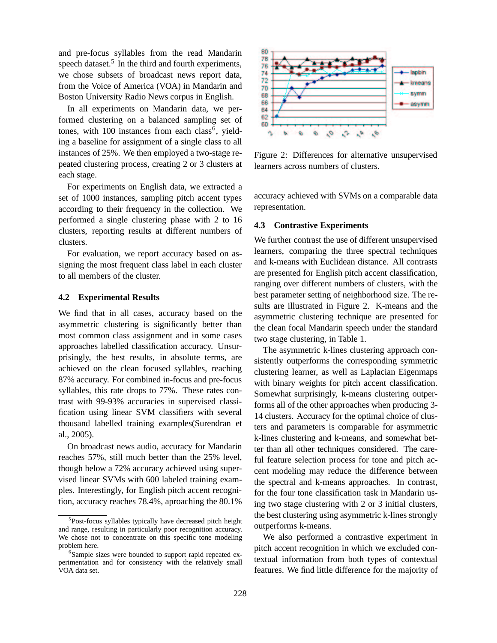and pre-focus syllables from the read Mandarin speech dataset.<sup>5</sup> In the third and fourth experiments, we chose subsets of broadcast news report data, from the Voice of America (VOA) in Mandarin and Boston University Radio News corpus in English.

In all experiments on Mandarin data, we performed clustering on a balanced sampling set of tones, with 100 instances from each class<sup>6</sup>, yielding a baseline for assignment of a single class to all instances of 25%. We then employed a two-stage repeated clustering process, creating 2 or 3 clusters at each stage.

For experiments on English data, we extracted a set of 1000 instances, sampling pitch accent types according to their frequency in the collection. We performed a single clustering phase with 2 to 16 clusters, reporting results at different numbers of clusters.

For evaluation, we report accuracy based on assigning the most frequent class label in each cluster to all members of the cluster.

#### **4.2 Experimental Results**

We find that in all cases, accuracy based on the asymmetric clustering is significantly better than most common class assignment and in some cases approaches labelled classification accuracy. Unsurprisingly, the best results, in absolute terms, are achieved on the clean focused syllables, reaching 87% accuracy. For combined in-focus and pre-focus syllables, this rate drops to 77%. These rates contrast with 99-93% accuracies in supervised classification using linear SVM classifiers with several thousand labelled training examples(Surendran et al., 2005).

On broadcast news audio, accuracy for Mandarin reaches 57%, still much better than the 25% level, though below a 72% accuracy achieved using supervised linear SVMs with 600 labeled training examples. Interestingly, for English pitch accent recognition, accuracy reaches 78.4%, aproaching the 80.1%



Figure 2: Differences for alternative unsupervised learners across numbers of clusters.

accuracy achieved with SVMs on a comparable data representation.

#### **4.3 Contrastive Experiments**

We further contrast the use of different unsupervised learners, comparing the three spectral techniques and k-means with Euclidean distance. All contrasts are presented for English pitch accent classification, ranging over different numbers of clusters, with the best parameter setting of neighborhood size. The results are illustrated in Figure 2. K-means and the asymmetric clustering technique are presented for the clean focal Mandarin speech under the standard two stage clustering, in Table 1.

The asymmetric k-lines clustering approach consistently outperforms the corresponding symmetric clustering learner, as well as Laplacian Eigenmaps with binary weights for pitch accent classification. Somewhat surprisingly, k-means clustering outperforms all of the other approaches when producing 3- 14 clusters. Accuracy for the optimal choice of clusters and parameters is comparable for asymmetric k-lines clustering and k-means, and somewhat better than all other techniques considered. The careful feature selection process for tone and pitch accent modeling may reduce the difference between the spectral and k-means approaches. In contrast, for the four tone classification task in Mandarin using two stage clustering with 2 or 3 initial clusters, the best clustering using asymmetric k-lines strongly outperforms k-means.

We also performed a contrastive experiment in pitch accent recognition in which we excluded contextual information from both types of contextual features. We find little difference for the majority of

<sup>&</sup>lt;sup>5</sup>Post-focus syllables typically have decreased pitch height and range, resulting in particularly poor recognition accuracy. We chose not to concentrate on this specific tone modeling problem here.

<sup>&</sup>lt;sup>6</sup>Sample sizes were bounded to support rapid repeated experimentation and for consistency with the relatively small VOA data set.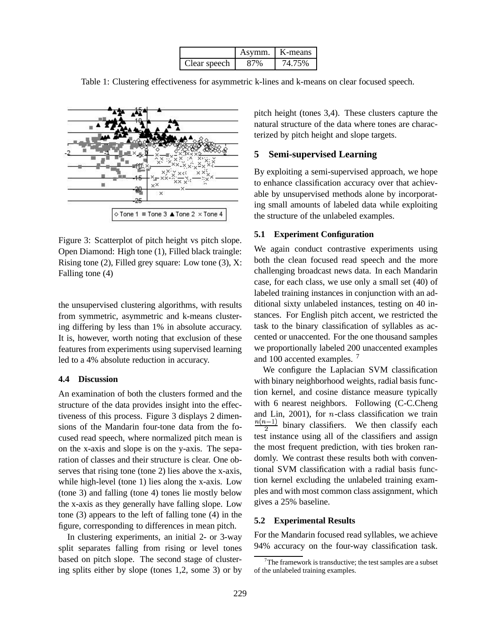|              | Asymm.   K-means |        |
|--------------|------------------|--------|
| Clear speech | 87%              | 74.75% |

Table 1: Clustering effectiveness for asymmetric k-lines and k-means on clear focused speech.



Figure 3: Scatterplot of pitch height vs pitch slope. Open Diamond: High tone (1), Filled black traingle: Rising tone (2), Filled grey square: Low tone (3), X: Falling tone (4)

the unsupervised clustering algorithms, with results from symmetric, asymmetric and k-means clustering differing by less than 1% in absolute accuracy. It is, however, worth noting that exclusion of these features from experiments using supervised learning led to a 4% absolute reduction in accuracy.

### **4.4 Discussion**

An examination of both the clusters formed and the structure of the data provides insight into the effectiveness of this process. Figure 3 displays 2 dimensions of the Mandarin four-tone data from the focused read speech, where normalized pitch mean is on the x-axis and slope is on the y-axis. The separation of classes and their structure is clear. One observes that rising tone (tone 2) lies above the x-axis, while high-level (tone 1) lies along the x-axis. Low (tone 3) and falling (tone 4) tones lie mostly below the x-axis as they generally have falling slope. Low tone (3) appears to the left of falling tone (4) in the figure, corresponding to differences in mean pitch.

In clustering experiments, an initial 2- or 3-way split separates falling from rising or level tones based on pitch slope. The second stage of clustering splits either by slope (tones 1,2, some 3) or by pitch height (tones 3,4). These clusters capture the natural structure of the data where tones are characterized by pitch height and slope targets.

### **5 Semi-supervised Learning**

By exploiting a semi-supervised approach, we hope to enhance classification accuracy over that achievable by unsupervised methods alone by incorporating small amounts of labeled data while exploiting the structure of the unlabeled examples.

### **5.1 Experiment Configuration**

We again conduct contrastive experiments using both the clean focused read speech and the more challenging broadcast news data. In each Mandarin case, for each class, we use only a small set (40) of labeled training instances in conjunction with an additional sixty unlabeled instances, testing on 40 instances. For English pitch accent, we restricted the task to the binary classification of syllables as accented or unaccented. For the one thousand samples we proportionally labeled 200 unaccented examples and 100 accented examples. <sup>7</sup>

We configure the Laplacian SVM classification with binary neighborhood weights, radial basis function kernel, and cosine distance measure typically with 6 nearest neighbors. Following (C-C.Cheng and Lin, 2001), for  $n$ -class classification we train  $\frac{n(n-1)}{2}$  binary classifiers. We then classify each test instance using all of the classifiers and assign the most frequent prediction, with ties broken randomly. We contrast these results both with conventional SVM classification with a radial basis function kernel excluding the unlabeled training examples and with most common class assignment, which gives a 25% baseline.

#### **5.2 Experimental Results**

For the Mandarin focused read syllables, we achieve 94% accuracy on the four-way classification task.

 $7$ The framework is transductive; the test samples are a subset of the unlabeled training examples.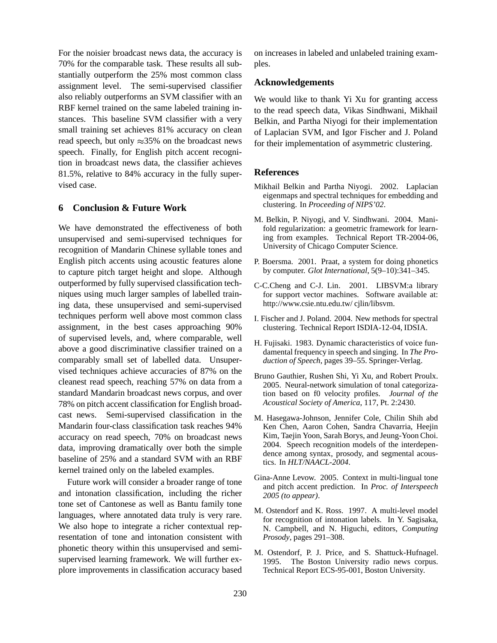For the noisier broadcast news data, the accuracy is 70% for the comparable task. These results all substantially outperform the 25% most common class assignment level. The semi-supervised classifier also reliably outperforms an SVM classifier with an RBF kernel trained on the same labeled training instances. This baseline SVM classifier with a very small training set achieves 81% accuracy on clean read speech, but only  $\approx 35\%$  on the broadcast news speech. Finally, for English pitch accent recognition in broadcast news data, the classifier achieves 81.5%, relative to 84% accuracy in the fully supervised case.

### **6 Conclusion & Future Work**

We have demonstrated the effectiveness of both unsupervised and semi-supervised techniques for recognition of Mandarin Chinese syllable tones and English pitch accents using acoustic features alone to capture pitch target height and slope. Although outperformed by fully supervised classification techniques using much larger samples of labelled training data, these unsupervised and semi-supervised techniques perform well above most common class assignment, in the best cases approaching 90% of supervised levels, and, where comparable, well above a good discriminative classifier trained on a comparably small set of labelled data. Unsupervised techniques achieve accuracies of 87% on the cleanest read speech, reaching 57% on data from a standard Mandarin broadcast news corpus, and over 78% on pitch accent classification for English broadcast news. Semi-supervised classification in the Mandarin four-class classification task reaches 94% accuracy on read speech, 70% on broadcast news data, improving dramatically over both the simple baseline of 25% and a standard SVM with an RBF kernel trained only on the labeled examples.

Future work will consider a broader range of tone and intonation classification, including the richer tone set of Cantonese as well as Bantu family tone languages, where annotated data truly is very rare. We also hope to integrate a richer contextual representation of tone and intonation consistent with phonetic theory within this unsupervised and semisupervised learning framework. We will further explore improvements in classification accuracy based on increases in labeled and unlabeled training examples.

### **Acknowledgements**

We would like to thank Yi Xu for granting access to the read speech data, Vikas Sindhwani, Mikhail Belkin, and Partha Niyogi for their implementation of Laplacian SVM, and Igor Fischer and J. Poland for their implementation of asymmetric clustering.

### **References**

- Mikhail Belkin and Partha Niyogi. 2002. Laplacian eigenmaps and spectral techniques for embedding and clustering. In *Proceeding of NIPS'02*.
- M. Belkin, P. Niyogi, and V. Sindhwani. 2004. Manifold regularization: a geometric framework for learning from examples. Technical Report TR-2004-06, University of Chicago Computer Science.
- P. Boersma. 2001. Praat, a system for doing phonetics by computer. *Glot International*, 5(9–10):341–345.
- C-C.Cheng and C-J. Lin. 2001. LIBSVM:a library for support vector machines. Software available at: http://www.csie.ntu.edu.tw/ cjlin/libsvm.
- I. Fischer and J. Poland. 2004. New methods for spectral clustering. Technical Report ISDIA-12-04, IDSIA.
- H. Fujisaki. 1983. Dynamic characteristics of voice fundamental frequency in speech and singing. In *The Production of Speech*, pages 39–55. Springer-Verlag.
- Bruno Gauthier, Rushen Shi, Yi Xu, and Robert Proulx. 2005. Neural-network simulation of tonal categorization based on f0 velocity profiles. *Journal of the Acoustical Society of America*, 117, Pt. 2:2430.
- M. Hasegawa-Johnson, Jennifer Cole, Chilin Shih abd Ken Chen, Aaron Cohen, Sandra Chavarria, Heejin Kim, Taejin Yoon, Sarah Borys, and Jeung-Yoon Choi. 2004. Speech recognition models of the interdependence among syntax, prosody, and segmental acoustics. In *HLT/NAACL-2004*.
- Gina-Anne Levow. 2005. Context in multi-lingual tone and pitch accent prediction. In *Proc. of Interspeech 2005 (to appear)*.
- M. Ostendorf and K. Ross. 1997. A multi-level model for recognition of intonation labels. In Y. Sagisaka, N. Campbell, and N. Higuchi, editors, *Computing Prosody*, pages 291–308.
- M. Ostendorf, P. J. Price, and S. Shattuck-Hufnagel. 1995. The Boston University radio news corpus. Technical Report ECS-95-001, Boston University.